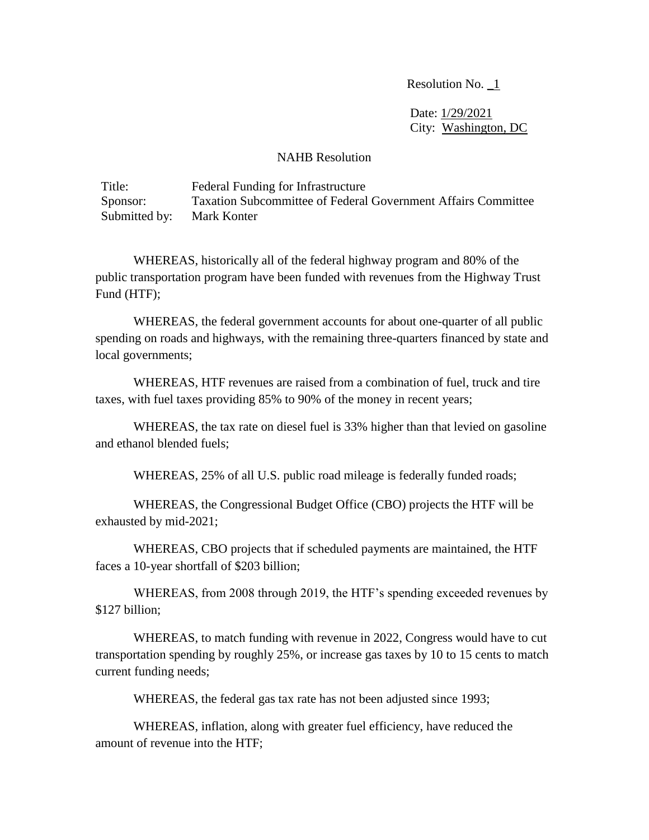Resolution No.  $\boxed{1}$ 

 Date: 1/29/2021 City: Washington, DC

## NAHB Resolution

Title: Federal Funding for Infrastructure Sponsor: Taxation Subcommittee of Federal Government Affairs Committee Submitted by: Mark Konter

WHEREAS, historically all of the federal highway program and 80% of the public transportation program have been funded with revenues from the Highway Trust Fund (HTF);

WHEREAS, the federal government accounts for about one-quarter of all public spending on roads and highways, with the remaining three-quarters financed by state and local governments;

WHEREAS, HTF revenues are raised from a combination of fuel, truck and tire taxes, with fuel taxes providing 85% to 90% of the money in recent years;

WHEREAS, the tax rate on diesel fuel is 33% higher than that levied on gasoline and ethanol blended fuels;

WHEREAS, 25% of all U.S. public road mileage is federally funded roads;

WHEREAS, the Congressional Budget Office (CBO) projects the HTF will be exhausted by mid-2021;

WHEREAS, CBO projects that if scheduled payments are maintained, the HTF faces a 10-year shortfall of \$203 billion;

WHEREAS, from 2008 through 2019, the HTF's spending exceeded revenues by \$127 billion;

WHEREAS, to match funding with revenue in 2022, Congress would have to cut transportation spending by roughly 25%, or increase gas taxes by 10 to 15 cents to match current funding needs;

WHEREAS, the federal gas tax rate has not been adjusted since 1993;

WHEREAS, inflation, along with greater fuel efficiency, have reduced the amount of revenue into the HTF;